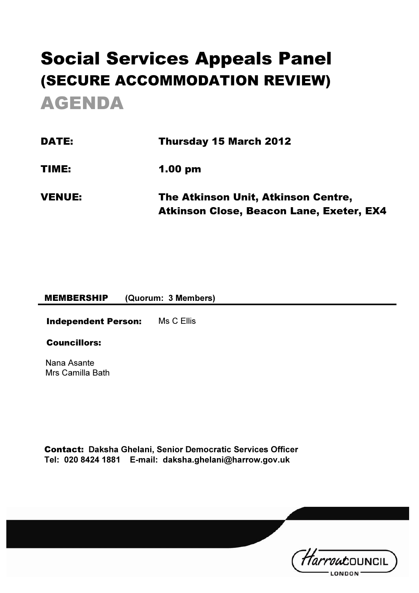# Social Services Appeals Panel (SECURE ACCOMMODATION REVIEW) AGENDA

| <b>DATE:</b>  | Thursday 15 March 2012                                                                 |  |
|---------------|----------------------------------------------------------------------------------------|--|
| TIME:         | $1.00 \text{ pm}$                                                                      |  |
| <b>VENUE:</b> | The Atkinson Unit, Atkinson Centre,<br><b>Atkinson Close, Beacon Lane, Exeter, EX4</b> |  |

#### MEMBERSHIP (Quorum: 3 Members)

Independent Person: Ms C Ellis

#### Councillors:

Nana Asante Mrs Camilla Bath

Contact: Daksha Ghelani, Senior Democratic Services Officer Tel: 020 8424 1881 E-mail: daksha.ghelani@harrow.gov.uk

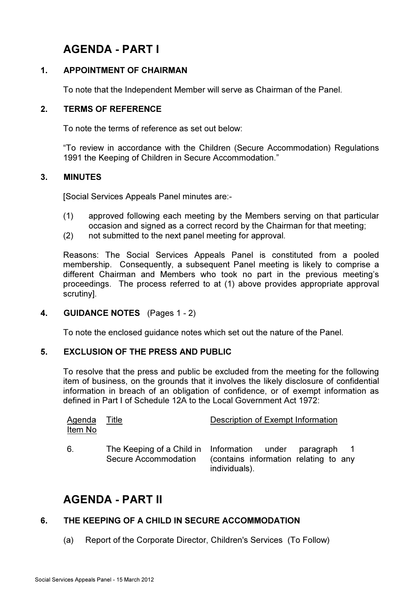# AGENDA - PART I

## 1. APPOINTMENT OF CHAIRMAN

To note that the Independent Member will serve as Chairman of the Panel.

## 2. TERMS OF REFERENCE

To note the terms of reference as set out below:

"To review in accordance with the Children (Secure Accommodation) Regulations 1991 the Keeping of Children in Secure Accommodation."

#### 3. MINUTES

[Social Services Appeals Panel minutes are:-

- (1) approved following each meeting by the Members serving on that particular occasion and signed as a correct record by the Chairman for that meeting;
- (2) not submitted to the next panel meeting for approval.

Reasons: The Social Services Appeals Panel is constituted from a pooled membership. Consequently, a subsequent Panel meeting is likely to comprise a different Chairman and Members who took no part in the previous meeting's proceedings. The process referred to at (1) above provides appropriate approval scrutiny].

#### 4. GUIDANCE NOTES (Pages 1 - 2)

To note the enclosed guidance notes which set out the nature of the Panel.

#### 5. EXCLUSION OF THE PRESS AND PUBLIC

 To resolve that the press and public be excluded from the meeting for the following item of business, on the grounds that it involves the likely disclosure of confidential information in breach of an obligation of confidence, or of exempt information as defined in Part I of Schedule 12A to the Local Government Act 1972:

| Agenda Title<br>Item No |                                                                                 | Description of Exempt Information                      |  |  |
|-------------------------|---------------------------------------------------------------------------------|--------------------------------------------------------|--|--|
| 6.                      | The Keeping of a Child in Information under paragraph 1<br>Secure Accommodation | (contains information relating to any<br>individuals). |  |  |

# AGENDA - PART II

## 6. THE KEEPING OF A CHILD IN SECURE ACCOMMODATION

(a) Report of the Corporate Director, Children's Services (To Follow)